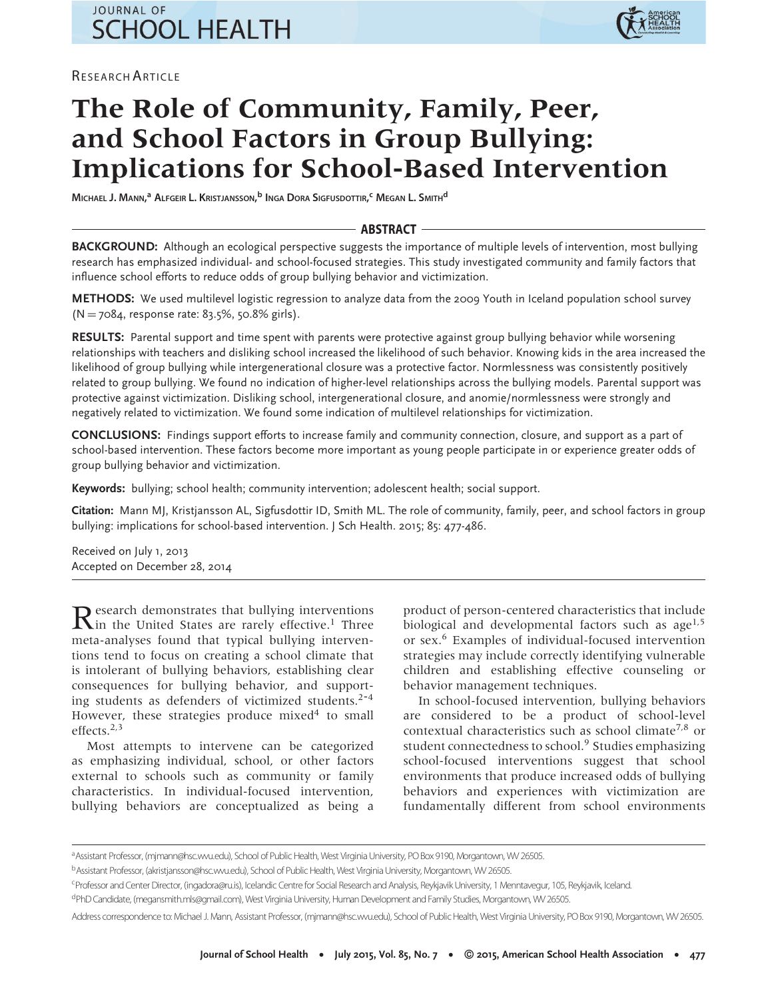# **JOURNAL OF SCHOOL HEALTH**

RESEARCH ARTICLE



# **The Role of Community, Family, Peer, and School Factors in Group Bullying: Implications for School-Based Intervention**

**MICHAEL J. MANN, <sup>a</sup> ALFGEIR L. KRISTJANSSON, <sup>b</sup> INGA DORA SIGFUSDOTTIR, <sup>c</sup> MEGAN L. SMITH<sup>d</sup>**

# - ABSTRACT -

**BACKGROUND:** Although an ecological perspective suggests the importance of multiple levels of intervention, most bullying research has emphasized individual- and school-focused strategies. This study investigated community and family factors that influence school efforts to reduce odds of group bullying behavior and victimization.

**METHODS:** We used multilevel logistic regression to analyze data from the 2009 Youth in Iceland population school survey (N = 7084, response rate: 83.5%, 50.8% girls).

**RESULTS:** Parental support and time spent with parents were protective against group bullying behavior while worsening relationships with teachers and disliking school increased the likelihood of such behavior. Knowing kids in the area increased the likelihood of group bullying while intergenerational closure was a protective factor. Normlessness was consistently positively related to group bullying. We found no indication of higher-level relationships across the bullying models. Parental support was protective against victimization. Disliking school, intergenerational closure, and anomie/normlessness were strongly and negatively related to victimization. We found some indication of multilevel relationships for victimization.

**CONCLUSIONS:** Findings support efforts to increase family and community connection, closure, and support as a part of school-based intervention. These factors become more important as young people participate in or experience greater odds of group bullying behavior and victimization.

**Keywords:** bullying; school health; community intervention; adolescent health; social support.

**Citation:** Mann MJ, Kristjansson AL, Sigfusdottir ID, Smith ML. The role of community, family, peer, and school factors in group bullying: implications for school-based intervention. J Sch Health. 2015; 85: 477-486.

Received on July 1, 2013 Accepted on December 28, 2014

Research demonstrates that bullying interventions<br>In the United States are rarely effective.<sup>1</sup> Three meta-analyses found that typical bullying interventions tend to focus on creating a school climate that is intolerant of bullying behaviors, establishing clear consequences for bullying behavior, and supporting students as defenders of victimized students. $2-4$ However, these strategies produce mixed $4$  to small effects.2,3

Most attempts to intervene can be categorized as emphasizing individual, school, or other factors external to schools such as community or family characteristics. In individual-focused intervention, bullying behaviors are conceptualized as being a product of person-centered characteristics that include biological and developmental factors such as  $age^{1,5}$ or sex.<sup>6</sup> Examples of individual-focused intervention strategies may include correctly identifying vulnerable children and establishing effective counseling or behavior management techniques.

In school-focused intervention, bullying behaviors are considered to be a product of school-level contextual characteristics such as school climate<sup>7,8</sup> or student connectedness to school.<sup>9</sup> Studies emphasizing school-focused interventions suggest that school environments that produce increased odds of bullying behaviors and experiences with victimization are fundamentally different from school environments

a Assistant Professor, (mjmann@hsc.wvu.edu), School of Public Health, West Virginia University, PO Box 9190, Morgantown, WV 26505.

bAssistant Professor, (akristjansson@hsc.wvu.edu), School of Public Health, West Virginia University, Morgantown, WV 26505.

c Professor and Center Director, (ingadora@ru.is), Icelandic Centre for Social Research and Analysis, Reykjavik University, 1 Menntavegur, 105, Reykjavik, Iceland.

dPhD Candidate, (megansmith.mls@gmail.com), West Virginia University, Human Development and Family Studies, Morgantown, WV 26505.

Address correspondence to: Michael J. Mann, Assistant Professor, (mjmann@hsc.wvu.edu), School of Public Health, West Virginia University, PO Box 9190, Morgantown, WV 26505.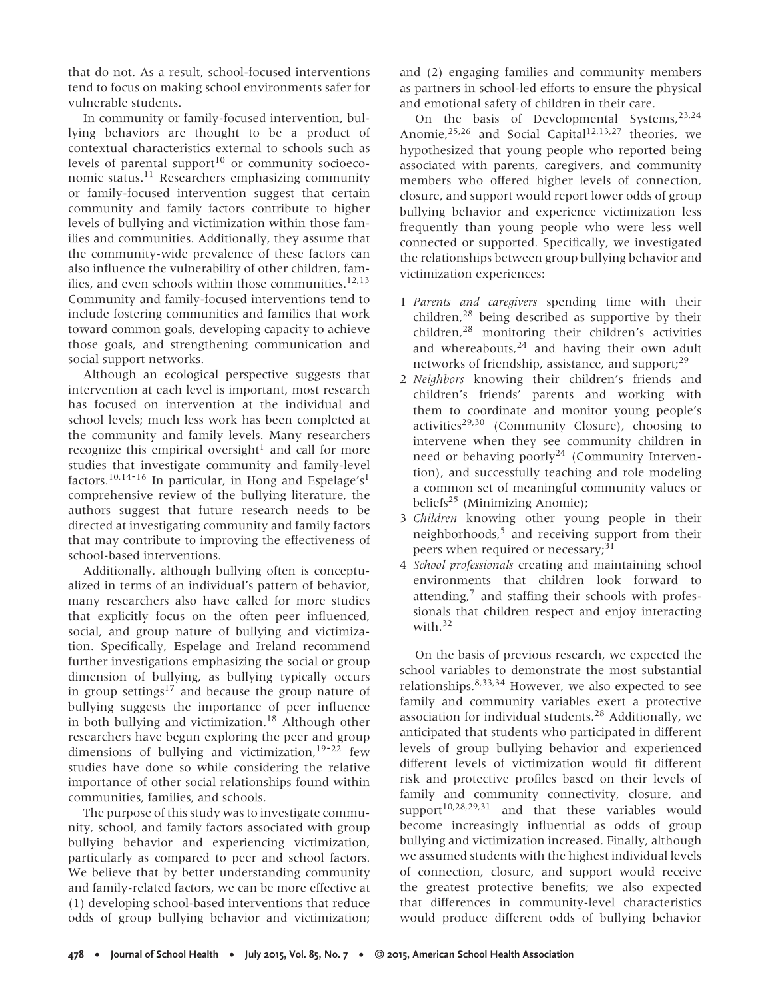that do not. As a result, school-focused interventions tend to focus on making school environments safer for vulnerable students.

In community or family-focused intervention, bullying behaviors are thought to be a product of contextual characteristics external to schools such as levels of parental support $10$  or community socioeconomic status.11 Researchers emphasizing community or family-focused intervention suggest that certain community and family factors contribute to higher levels of bullying and victimization within those families and communities. Additionally, they assume that the community-wide prevalence of these factors can also influence the vulnerability of other children, families, and even schools within those communities.<sup>12,13</sup> Community and family-focused interventions tend to include fostering communities and families that work toward common goals, developing capacity to achieve those goals, and strengthening communication and social support networks.

Although an ecological perspective suggests that intervention at each level is important, most research has focused on intervention at the individual and school levels; much less work has been completed at the community and family levels. Many researchers recognize this empirical oversight<sup>1</sup> and call for more studies that investigate community and family-level factors.<sup>10,14-16</sup> In particular, in Hong and Espelage's<sup>1</sup> comprehensive review of the bullying literature, the authors suggest that future research needs to be directed at investigating community and family factors that may contribute to improving the effectiveness of school-based interventions.

Additionally, although bullying often is conceptualized in terms of an individual's pattern of behavior, many researchers also have called for more studies that explicitly focus on the often peer influenced, social, and group nature of bullying and victimization. Specifically, Espelage and Ireland recommend further investigations emphasizing the social or group dimension of bullying, as bullying typically occurs in group settings<sup>17</sup> and because the group nature of bullying suggests the importance of peer influence in both bullying and victimization.<sup>18</sup> Although other researchers have begun exploring the peer and group dimensions of bullying and victimization,  $19-22$  few studies have done so while considering the relative importance of other social relationships found within communities, families, and schools.

The purpose of this study was to investigate community, school, and family factors associated with group bullying behavior and experiencing victimization, particularly as compared to peer and school factors. We believe that by better understanding community and family-related factors, we can be more effective at (1) developing school-based interventions that reduce odds of group bullying behavior and victimization; and (2) engaging families and community members as partners in school-led efforts to ensure the physical and emotional safety of children in their care.

On the basis of Developmental Systems.<sup>23,24</sup> Anomie,  $25,26$  and Social Capital<sup>12,13,27</sup> theories, we hypothesized that young people who reported being associated with parents, caregivers, and community members who offered higher levels of connection, closure, and support would report lower odds of group bullying behavior and experience victimization less frequently than young people who were less well connected or supported. Specifically, we investigated the relationships between group bullying behavior and victimization experiences:

- 1 *Parents and caregivers* spending time with their children, $28$  being described as supportive by their children,28 monitoring their children's activities and whereabouts, $24$  and having their own adult networks of friendship, assistance, and support:<sup>29</sup>
- 2 *Neighbors* knowing their children's friends and children's friends' parents and working with them to coordinate and monitor young people's activities<sup>29,30</sup> (Community Closure), choosing to intervene when they see community children in need or behaving poorly<sup>24</sup> (Community Intervention), and successfully teaching and role modeling a common set of meaningful community values or beliefs<sup>25</sup> (Minimizing Anomie);
- 3 *Children* knowing other young people in their neighborhoods,<sup>5</sup> and receiving support from their peers when required or necessary;<sup>31</sup>
- 4 *School professionals* creating and maintaining school environments that children look forward to attending, $<sup>7</sup>$  and staffing their schools with profes-</sup> sionals that children respect and enjoy interacting with.<sup>32</sup>

On the basis of previous research, we expected the school variables to demonstrate the most substantial relationships.8,33,34 However, we also expected to see family and community variables exert a protective association for individual students.<sup>28</sup> Additionally, we anticipated that students who participated in different levels of group bullying behavior and experienced different levels of victimization would fit different risk and protective profiles based on their levels of family and community connectivity, closure, and support $10,28,29,31$  and that these variables would become increasingly influential as odds of group bullying and victimization increased. Finally, although we assumed students with the highest individual levels of connection, closure, and support would receive the greatest protective benefits; we also expected that differences in community-level characteristics would produce different odds of bullying behavior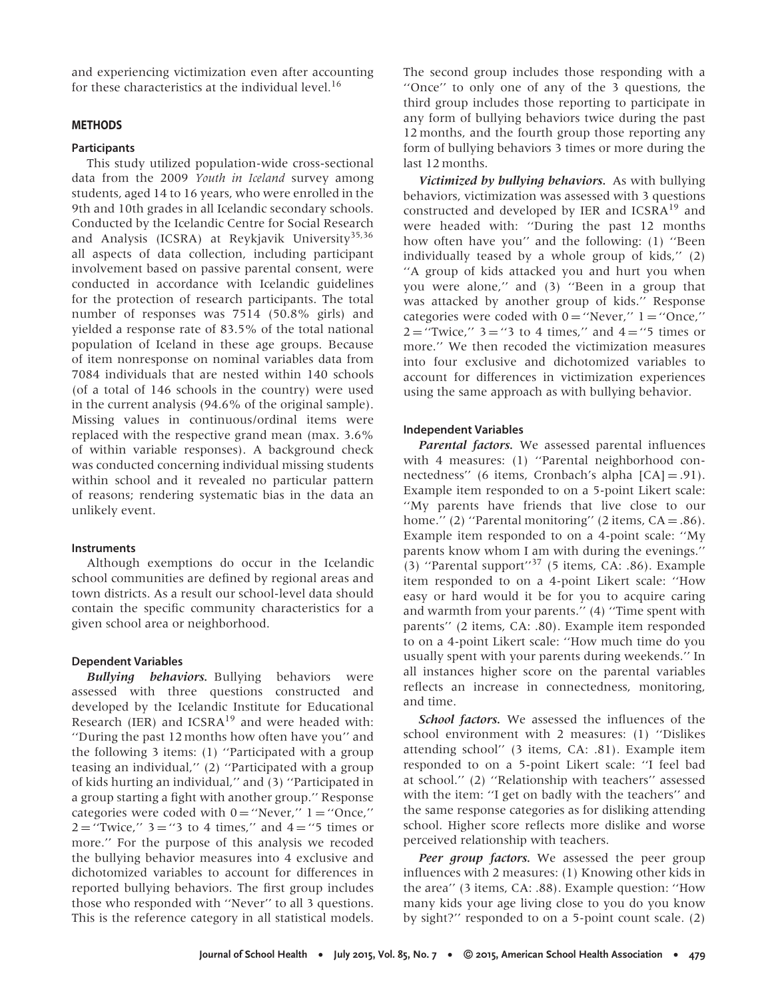and experiencing victimization even after accounting for these characteristics at the individual level.<sup>16</sup>

# **METHODS**

#### **Participants**

This study utilized population-wide cross-sectional data from the 2009 *Youth in Iceland* survey among students, aged 14 to 16 years, who were enrolled in the 9th and 10th grades in all Icelandic secondary schools. Conducted by the Icelandic Centre for Social Research and Analysis (ICSRA) at Reykjavik University<sup>35,36</sup> all aspects of data collection, including participant involvement based on passive parental consent, were conducted in accordance with Icelandic guidelines for the protection of research participants. The total number of responses was 7514 (50.8% girls) and yielded a response rate of 83.5% of the total national population of Iceland in these age groups. Because of item nonresponse on nominal variables data from 7084 individuals that are nested within 140 schools (of a total of 146 schools in the country) were used in the current analysis (94.6% of the original sample). Missing values in continuous/ordinal items were replaced with the respective grand mean (max. 3.6% of within variable responses). A background check was conducted concerning individual missing students within school and it revealed no particular pattern of reasons; rendering systematic bias in the data an unlikely event.

#### **Instruments**

Although exemptions do occur in the Icelandic school communities are defined by regional areas and town districts. As a result our school-level data should contain the specific community characteristics for a given school area or neighborhood.

#### **Dependent Variables**

*Bullying behaviors.* Bullying behaviors were assessed with three questions constructed and developed by the Icelandic Institute for Educational Research (IER) and  $ICSRA^{19}$  and were headed with: ''During the past 12 months how often have you'' and the following 3 items: (1) ''Participated with a group teasing an individual,'' (2) ''Participated with a group of kids hurting an individual,'' and (3) ''Participated in a group starting a fight with another group.'' Response categories were coded with  $0 =$  "Never,"  $1 =$  "Once,"  $2 =$  "Twice,"  $3 =$  "3 to 4 times," and  $4 =$  "5 times or more.'' For the purpose of this analysis we recoded the bullying behavior measures into 4 exclusive and dichotomized variables to account for differences in reported bullying behaviors. The first group includes those who responded with ''Never'' to all 3 questions. This is the reference category in all statistical models. The second group includes those responding with a ''Once'' to only one of any of the 3 questions, the third group includes those reporting to participate in any form of bullying behaviors twice during the past 12 months, and the fourth group those reporting any form of bullying behaviors 3 times or more during the last 12 months.

*Victimized by bullying behaviors.* As with bullying behaviors, victimization was assessed with 3 questions constructed and developed by IER and ICSRA<sup>19</sup> and were headed with: ''During the past 12 months how often have you'' and the following: (1) ''Been individually teased by a whole group of kids,'' (2) ''A group of kids attacked you and hurt you when you were alone,'' and (3) ''Been in a group that was attacked by another group of kids.'' Response categories were coded with  $0 =$  "Never,"  $1 =$  "Once,"  $2 =$  "Twice,"  $3 =$  "3 to 4 times," and  $4 =$  "5 times or more.'' We then recoded the victimization measures into four exclusive and dichotomized variables to account for differences in victimization experiences using the same approach as with bullying behavior.

### **Independent Variables**

*Parental factors.* We assessed parental influences with 4 measures: (1) "Parental neighborhood connectedness'' (6 items, Cronbach's alpha [CA] = .91). Example item responded to on a 5-point Likert scale: ''My parents have friends that live close to our home." (2) "Parental monitoring" (2 items,  $CA = .86$ ). Example item responded to on a 4-point scale: ''My parents know whom I am with during the evenings.''  $(3)$  "Parental support"<sup>37</sup> (5 items, CA: .86). Example item responded to on a 4-point Likert scale: ''How easy or hard would it be for you to acquire caring and warmth from your parents.'' (4) ''Time spent with parents'' (2 items, CA: .80). Example item responded to on a 4-point Likert scale: ''How much time do you usually spent with your parents during weekends.'' In all instances higher score on the parental variables reflects an increase in connectedness, monitoring, and time.

*School factors.* We assessed the influences of the school environment with 2 measures: (1) ''Dislikes attending school'' (3 items, CA: .81). Example item responded to on a 5-point Likert scale: ''I feel bad at school.'' (2) ''Relationship with teachers'' assessed with the item: ''I get on badly with the teachers'' and the same response categories as for disliking attending school. Higher score reflects more dislike and worse perceived relationship with teachers.

*Peer group factors.* We assessed the peer group influences with 2 measures: (1) Knowing other kids in the area'' (3 items, CA: .88). Example question: ''How many kids your age living close to you do you know by sight?'' responded to on a 5-point count scale. (2)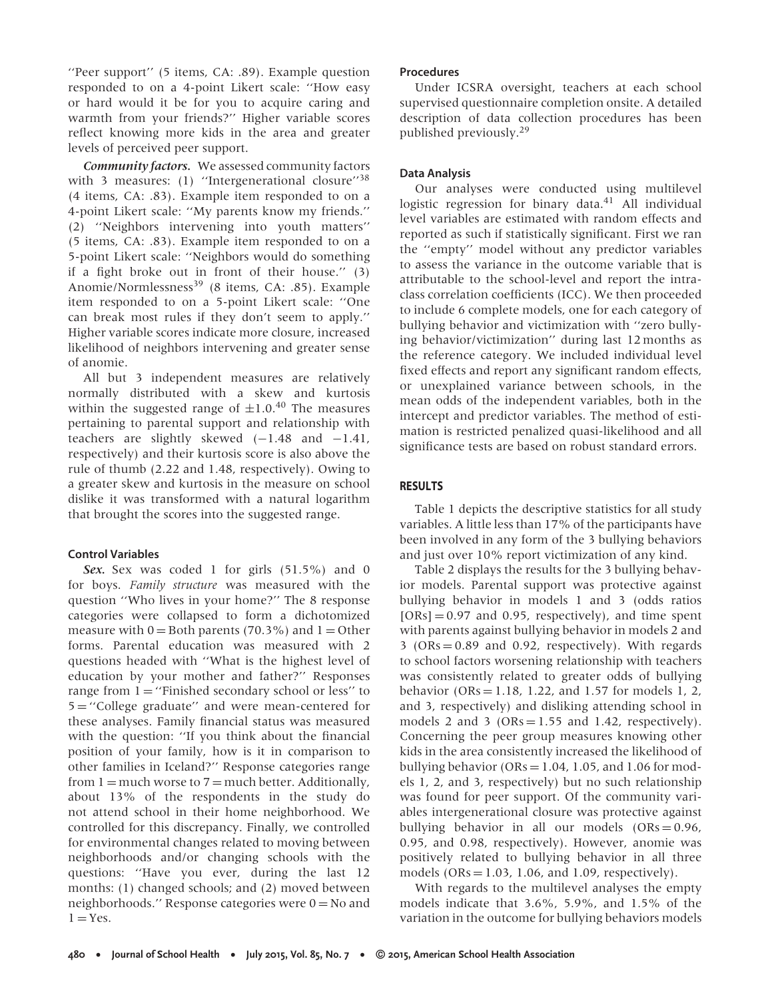''Peer support'' (5 items, CA: .89). Example question responded to on a 4-point Likert scale: ''How easy or hard would it be for you to acquire caring and warmth from your friends?'' Higher variable scores reflect knowing more kids in the area and greater levels of perceived peer support.

*Community factors.* We assessed community factors with 3 measures: (1) "Intergenerational closure"<sup>38</sup> (4 items, CA: .83). Example item responded to on a 4-point Likert scale: ''My parents know my friends.'' (2) ''Neighbors intervening into youth matters'' (5 items, CA: .83). Example item responded to on a 5-point Likert scale: ''Neighbors would do something if a fight broke out in front of their house.'' (3) Anomie/Normlessness<sup>39</sup> (8 items, CA: .85). Example item responded to on a 5-point Likert scale: ''One can break most rules if they don't seem to apply.'' Higher variable scores indicate more closure, increased likelihood of neighbors intervening and greater sense of anomie.

All but 3 independent measures are relatively normally distributed with a skew and kurtosis within the suggested range of  $\pm 1.0^{40}$  The measures pertaining to parental support and relationship with teachers are slightly skewed  $(-1.48$  and  $-1.41$ , respectively) and their kurtosis score is also above the rule of thumb (2.22 and 1.48, respectively). Owing to a greater skew and kurtosis in the measure on school dislike it was transformed with a natural logarithm that brought the scores into the suggested range.

# **Control Variables**

*Sex.* Sex was coded 1 for girls (51.5%) and 0 for boys. *Family structure* was measured with the question ''Who lives in your home?'' The 8 response categories were collapsed to form a dichotomized measure with  $0 =$  Both parents (70.3%) and  $1 =$  Other forms. Parental education was measured with 2 questions headed with ''What is the highest level of education by your mother and father?'' Responses range from  $1 =$  "Finished secondary school or less" to 5 = ''College graduate'' and were mean-centered for these analyses. Family financial status was measured with the question: ''If you think about the financial position of your family, how is it in comparison to other families in Iceland?'' Response categories range from  $1 =$  much worse to  $7 =$  much better. Additionally, about 13% of the respondents in the study do not attend school in their home neighborhood. We controlled for this discrepancy. Finally, we controlled for environmental changes related to moving between neighborhoods and/or changing schools with the questions: ''Have you ever, during the last 12 months: (1) changed schools; and (2) moved between neighborhoods.'' Response categories were  $0 = No$  and  $1 = Yes.$ 

# **Procedures**

Under ICSRA oversight, teachers at each school supervised questionnaire completion onsite. A detailed description of data collection procedures has been published previously.<sup>29</sup>

# **Data Analysis**

Our analyses were conducted using multilevel logistic regression for binary data. $41$  All individual level variables are estimated with random effects and reported as such if statistically significant. First we ran the ''empty'' model without any predictor variables to assess the variance in the outcome variable that is attributable to the school-level and report the intraclass correlation coefficients (ICC). We then proceeded to include 6 complete models, one for each category of bullying behavior and victimization with ''zero bullying behavior/victimization'' during last 12 months as the reference category. We included individual level fixed effects and report any significant random effects, or unexplained variance between schools, in the mean odds of the independent variables, both in the intercept and predictor variables. The method of estimation is restricted penalized quasi-likelihood and all significance tests are based on robust standard errors.

# **RESULTS**

Table 1 depicts the descriptive statistics for all study variables. A little less than 17% of the participants have been involved in any form of the 3 bullying behaviors and just over 10% report victimization of any kind.

Table 2 displays the results for the 3 bullying behavior models. Parental support was protective against bullying behavior in models 1 and 3 (odds ratios  $[ORS] = 0.97$  and 0.95, respectively), and time spent with parents against bullying behavior in models 2 and 3 ( $ORs = 0.89$  and 0.92, respectively). With regards to school factors worsening relationship with teachers was consistently related to greater odds of bullying behavior ( $ORs = 1.18$ , 1.22, and 1.57 for models 1, 2, and 3, respectively) and disliking attending school in models 2 and 3 ( $ORs = 1.55$  and 1.42, respectively). Concerning the peer group measures knowing other kids in the area consistently increased the likelihood of bullying behavior ( $ORs = 1.04$ , 1.05, and 1.06 for models 1, 2, and 3, respectively) but no such relationship was found for peer support. Of the community variables intergenerational closure was protective against bullying behavior in all our models  $(ORs = 0.96,$ 0.95, and 0.98, respectively). However, anomie was positively related to bullying behavior in all three models ( $ORs = 1.03$ , 1.06, and 1.09, respectively).

With regards to the multilevel analyses the empty models indicate that 3.6%, 5.9%, and 1.5% of the variation in the outcome for bullying behaviors models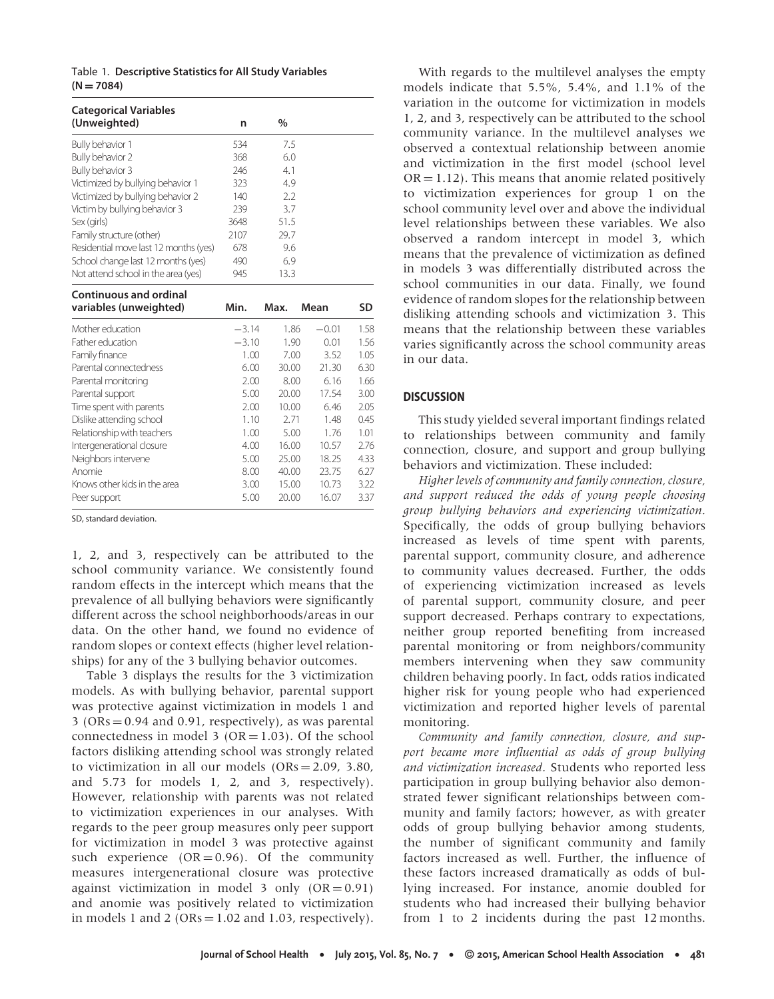Table 1. **Descriptive Statistics for All Study Variables**  $(N = 7084)$ 

| <b>Categorical Variables</b><br>(Unweighted)            | n       | $\frac{0}{0}$ |         |           |
|---------------------------------------------------------|---------|---------------|---------|-----------|
| Bully behavior 1                                        | 534     | 7.5           |         |           |
| Bully behavior 2                                        | 368     | 6.0           |         |           |
| Bully behavior 3                                        | 246     | 4.1           |         |           |
| Victimized by bullying behavior 1                       | 323     | 4.9           |         |           |
| Victimized by bullying behavior 2                       | 140     | 2.2           |         |           |
| Victim by bullying behavior 3                           | 239     | 3.7           |         |           |
| Sex (girls)                                             | 3648    | 51.5          |         |           |
| Family structure (other)                                | 2107    | 29.7          |         |           |
| Residential move last 12 months (yes)                   | 678     | 9.6           |         |           |
| School change last 12 months (yes)                      | 490     | 6.9           |         |           |
| Not attend school in the area (yes)                     | 945     | 13.3          |         |           |
| <b>Continuous and ordinal</b><br>variables (unweighted) | Min.    | Max.          | Mean    | <b>SD</b> |
| Mother education                                        | $-3.14$ | 1.86          | $-0.01$ | 1.58      |
| Father education                                        | $-3.10$ | 1.90          | 0.01    | 1.56      |
| Family finance                                          | 1.00    | 7.00          | 3.52    | 1.05      |
| Parental connectedness                                  | 6.00    | 30.00         | 21.30   | 6.30      |
| Parental monitoring                                     | 2.00    | 8.00          | 6.16    | 1.66      |
| Parental support                                        | 5.00    | 20.00         | 17.54   | 3.00      |
| Time spent with parents                                 | 2.00    | 10.00         | 6.46    | 2.05      |
| Dislike attending school                                | 1.10    | 2.71          | 1.48    | 0.45      |
| Relationship with teachers                              | 1.00    | 5.00          | 1.76    | 1.01      |
| Intergenerational closure                               | 4.00    | 16.00         | 10.57   | 2.76      |
| Neighbors intervene                                     | 5.00    | 25.00         | 18.25   | 4.33      |
| Anomie                                                  | 8.00    | 40.00         | 23.75   | 6.27      |
| Knows other kids in the area                            | 3.00    | 15.00         | 10.73   | 3.22      |
| Peer support                                            | 5.00    | 20.00         | 16.07   | 3.37      |

SD, standard deviation.

1, 2, and 3, respectively can be attributed to the school community variance. We consistently found random effects in the intercept which means that the prevalence of all bullying behaviors were significantly different across the school neighborhoods/areas in our data. On the other hand, we found no evidence of random slopes or context effects (higher level relationships) for any of the 3 bullying behavior outcomes.

Table 3 displays the results for the 3 victimization models. As with bullying behavior, parental support was protective against victimization in models 1 and  $3 (ORs = 0.94$  and  $0.91$ , respectively), as was parental connectedness in model 3 ( $OR = 1.03$ ). Of the school factors disliking attending school was strongly related to victimization in all our models  $(ORs = 2.09, 3.80, ...)$ and 5.73 for models 1, 2, and 3, respectively). However, relationship with parents was not related to victimization experiences in our analyses. With regards to the peer group measures only peer support for victimization in model 3 was protective against such experience  $(OR = 0.96)$ . Of the community measures intergenerational closure was protective against victimization in model 3 only  $(OR = 0.91)$ and anomie was positively related to victimization in models 1 and 2 (ORs  $= 1.02$  and 1.03, respectively).

With regards to the multilevel analyses the empty models indicate that 5.5%, 5.4%, and 1.1% of the variation in the outcome for victimization in models 1, 2, and 3, respectively can be attributed to the school community variance. In the multilevel analyses we observed a contextual relationship between anomie and victimization in the first model (school level  $OR = 1.12$ ). This means that anomie related positively to victimization experiences for group 1 on the school community level over and above the individual level relationships between these variables. We also observed a random intercept in model 3, which means that the prevalence of victimization as defined in models 3 was differentially distributed across the school communities in our data. Finally, we found evidence of random slopes for the relationship between disliking attending schools and victimization 3. This means that the relationship between these variables varies significantly across the school community areas in our data.

## **DISCUSSION**

This study yielded several important findings related to relationships between community and family connection, closure, and support and group bullying behaviors and victimization. These included:

*Higher levels of community and family connection, closure, and support reduced the odds of young people choosing group bullying behaviors and experiencing victimization*. Specifically, the odds of group bullying behaviors increased as levels of time spent with parents, parental support, community closure, and adherence to community values decreased. Further, the odds of experiencing victimization increased as levels of parental support, community closure, and peer support decreased. Perhaps contrary to expectations, neither group reported benefiting from increased parental monitoring or from neighbors/community members intervening when they saw community children behaving poorly. In fact, odds ratios indicated higher risk for young people who had experienced victimization and reported higher levels of parental monitoring.

*Community and family connection, closure, and support became more influential as odds of group bullying and victimization increased*. Students who reported less participation in group bullying behavior also demonstrated fewer significant relationships between community and family factors; however, as with greater odds of group bullying behavior among students, the number of significant community and family factors increased as well. Further, the influence of these factors increased dramatically as odds of bullying increased. For instance, anomie doubled for students who had increased their bullying behavior from 1 to 2 incidents during the past 12 months.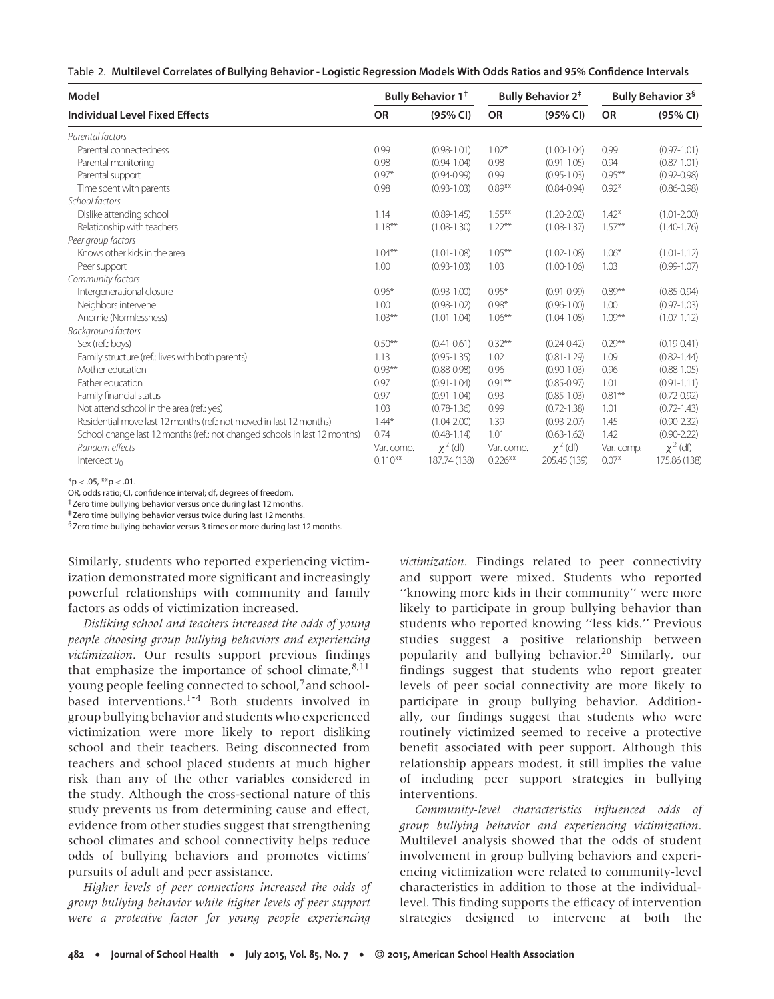| Table 2. Multilevel Correlates of Bullying Behavior - Logistic Regression Models With Odds Ratios and 95% Confidence Intervals |
|--------------------------------------------------------------------------------------------------------------------------------|
|--------------------------------------------------------------------------------------------------------------------------------|

| Model                                                                      | Bully Behavior 1 <sup>+</sup> |                 | <b>Bully Behavior 2<sup>#</sup></b> |                 | Bully Behavior 3 <sup>§</sup> |                 |
|----------------------------------------------------------------------------|-------------------------------|-----------------|-------------------------------------|-----------------|-------------------------------|-----------------|
| <b>Individual Level Fixed Effects</b>                                      | <b>OR</b>                     | (95% CI)        | <b>OR</b>                           | (95% CI)        | <b>OR</b>                     | (95% CI)        |
| Parental factors                                                           |                               |                 |                                     |                 |                               |                 |
| Parental connectedness                                                     | 0.99                          | $(0.98 - 1.01)$ | $1.02*$                             | $(1.00 - 1.04)$ | 0.99                          | $(0.97 - 1.01)$ |
| Parental monitoring                                                        | 0.98                          | $(0.94 - 1.04)$ | 0.98                                | $(0.91 - 1.05)$ | 0.94                          | $(0.87 - 1.01)$ |
| Parental support                                                           | $0.97*$                       | $(0.94 - 0.99)$ | 0.99                                | $(0.95 - 1.03)$ | $0.95***$                     | $(0.92 - 0.98)$ |
| Time spent with parents                                                    | 0.98                          | $(0.93 - 1.03)$ | $0.89***$                           | $(0.84 - 0.94)$ | $0.92*$                       | $(0.86 - 0.98)$ |
| School factors                                                             |                               |                 |                                     |                 |                               |                 |
| Dislike attending school                                                   | 1.14                          | $(0.89 - 1.45)$ | $1.55***$                           | $(1.20 - 2.02)$ | $1.42*$                       | $(1.01 - 2.00)$ |
| Relationship with teachers                                                 | $1.18***$                     | $(1.08 - 1.30)$ | $1.22***$                           | $(1.08 - 1.37)$ | $1.57***$                     | $(1.40 - 1.76)$ |
| Peer group factors                                                         |                               |                 |                                     |                 |                               |                 |
| Knows other kids in the area                                               | $1.04***$                     | $(1.01 - 1.08)$ | $1.05***$                           | $(1.02 - 1.08)$ | $1.06*$                       | $(1.01 - 1.12)$ |
| Peer support                                                               | 1.00                          | $(0.93 - 1.03)$ | 1.03                                | $(1.00 - 1.06)$ | 1.03                          | $(0.99 - 1.07)$ |
| Community factors                                                          |                               |                 |                                     |                 |                               |                 |
| Intergenerational closure                                                  | $0.96*$                       | $(0.93 - 1.00)$ | $0.95*$                             | $(0.91 - 0.99)$ | $0.89***$                     | $(0.85 - 0.94)$ |
| Neighbors intervene                                                        | 1.00                          | $(0.98 - 1.02)$ | $0.98*$                             | $(0.96 - 1.00)$ | 1.00                          | $(0.97 - 1.03)$ |
| Anomie (Normlessness)                                                      | $1.03***$                     | $(1.01 - 1.04)$ | $1.06***$                           | $(1.04 - 1.08)$ | $1.09***$                     | $(1.07 - 1.12)$ |
| <b>Background factors</b>                                                  |                               |                 |                                     |                 |                               |                 |
| Sex (ref.: boys)                                                           | $0.50***$                     | $(0.41 - 0.61)$ | $0.32***$                           | $(0.24 - 0.42)$ | $0.29***$                     | $(0.19 - 0.41)$ |
| Family structure (ref.: lives with both parents)                           | 1.13                          | $(0.95 - 1.35)$ | 1.02                                | $(0.81 - 1.29)$ | 1.09                          | $(0.82 - 1.44)$ |
| Mother education                                                           | $0.93***$                     | $(0.88 - 0.98)$ | 0.96                                | $(0.90 - 1.03)$ | 0.96                          | $(0.88 - 1.05)$ |
| Father education                                                           | 0.97                          | $(0.91 - 1.04)$ | $0.91***$                           | $(0.85 - 0.97)$ | 1.01                          | $(0.91 - 1.11)$ |
| Family financial status                                                    | 0.97                          | $(0.91 - 1.04)$ | 0.93                                | $(0.85 - 1.03)$ | $0.81***$                     | $(0.72 - 0.92)$ |
| Not attend school in the area (ref.: yes)                                  | 1.03                          | $(0.78 - 1.36)$ | 0.99                                | $(0.72 - 1.38)$ | 1.01                          | $(0.72 - 1.43)$ |
| Residential move last 12 months (ref.: not moved in last 12 months)        | $1.44*$                       | $(1.04 - 2.00)$ | 1.39                                | $(0.93 - 2.07)$ | 1.45                          | $(0.90 - 2.32)$ |
| School change last 12 months (ref.: not changed schools in last 12 months) | 0.74                          | $(0.48 - 1.14)$ | 1.01                                | $(0.63 - 1.62)$ | 1.42                          | $(0.90 - 2.22)$ |
| Random effects                                                             | Var. comp.                    | $\chi^2$ (df)   | Var. comp.                          | $\chi^2$ (df)   | Var. comp.                    | $\chi^2$ (df)   |
| Intercept $u_0$                                                            | $0.110***$                    | 187.74 (138)    | $0.226***$                          | 205.45 (139)    | $0.07*$                       | 175.86 (138)    |

\*p *<* .05, \*\*p *<* .01.

OR, odds ratio; CI, confidence interval; df, degrees of freedom.

†Zero time bullying behavior versus once during last 12 months.

‡Zero time bullying behavior versus twice during last 12 months.

<sup>§</sup>Zero time bullying behavior versus 3 times or more during last 12 months.

Similarly, students who reported experiencing victimization demonstrated more significant and increasingly powerful relationships with community and family factors as odds of victimization increased.

*Disliking school and teachers increased the odds of young people choosing group bullying behaviors and experiencing victimization*. Our results support previous findings that emphasize the importance of school climate, $8,11$ young people feeling connected to school,<sup>7</sup> and schoolbased interventions.<sup>1-4</sup> Both students involved in group bullying behavior and students who experienced victimization were more likely to report disliking school and their teachers. Being disconnected from teachers and school placed students at much higher risk than any of the other variables considered in the study. Although the cross-sectional nature of this study prevents us from determining cause and effect, evidence from other studies suggest that strengthening school climates and school connectivity helps reduce odds of bullying behaviors and promotes victims' pursuits of adult and peer assistance.

*Higher levels of peer connections increased the odds of group bullying behavior while higher levels of peer support were a protective factor for young people experiencing*

*victimization*. Findings related to peer connectivity and support were mixed. Students who reported ''knowing more kids in their community'' were more likely to participate in group bullying behavior than students who reported knowing ''less kids.'' Previous studies suggest a positive relationship between popularity and bullying behavior.<sup>20</sup> Similarly, our findings suggest that students who report greater levels of peer social connectivity are more likely to participate in group bullying behavior. Additionally, our findings suggest that students who were routinely victimized seemed to receive a protective benefit associated with peer support. Although this relationship appears modest, it still implies the value of including peer support strategies in bullying interventions.

*Community-level characteristics influenced odds of group bullying behavior and experiencing victimization*. Multilevel analysis showed that the odds of student involvement in group bullying behaviors and experiencing victimization were related to community-level characteristics in addition to those at the individuallevel. This finding supports the efficacy of intervention strategies designed to intervene at both the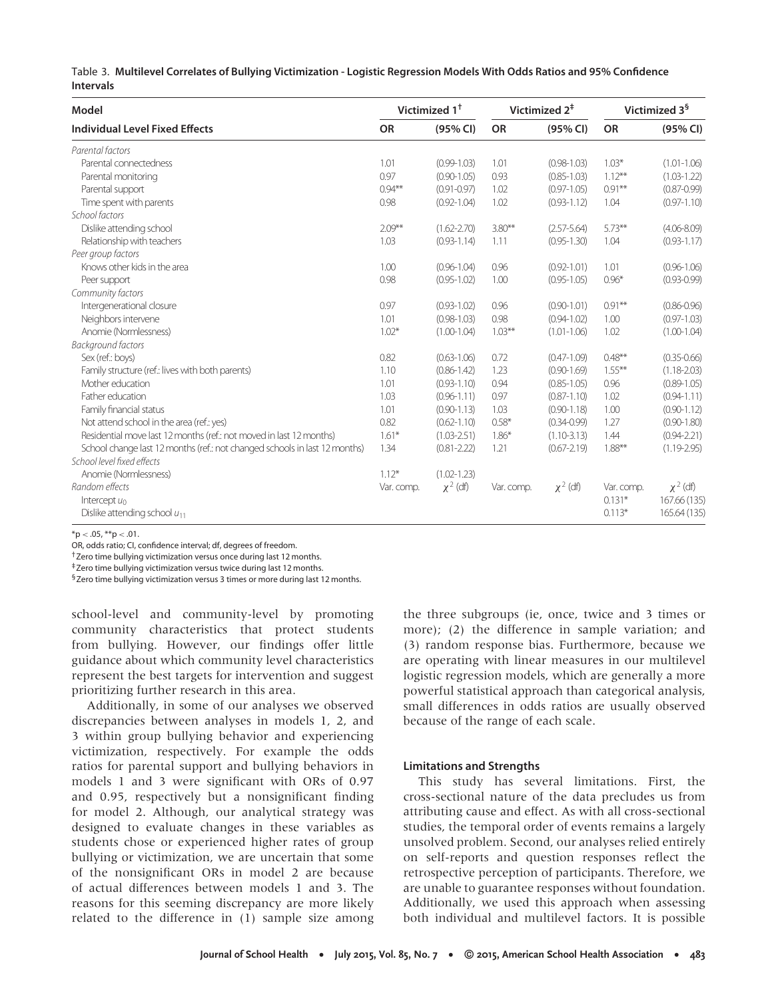Table 3. **Multilevel Correlates of Bullying Victimization - Logistic Regression Models With Odds Ratios and 95% Confidence Intervals**

| <b>OR</b><br><b>Individual Level Fixed Effects</b><br><b>OR</b><br>(95% CI)<br><b>OR</b><br>(95% CI)<br>(95% CI)<br>$1.03*$<br>Parental connectedness<br>1.01<br>$(0.99 - 1.03)$<br>$(0.98 - 1.03)$<br>$(1.01 - 1.06)$<br>1.01<br>0.97<br>0.93<br>$1.12***$<br>Parental monitoring<br>$(0.90 - 1.05)$<br>$(0.85 - 1.03)$<br>$(1.03 - 1.22)$<br>$0.94***$<br>Parental support<br>1.02<br>$0.91***$<br>$(0.87 - 0.99)$<br>$(0.91 - 0.97)$<br>$(0.97 - 1.05)$<br>1.02<br>Time spent with parents<br>0.98<br>$(0.92 - 1.04)$<br>$(0.93 - 1.12)$<br>1.04<br>$(0.97 - 1.10)$<br>School factors<br>$2.09***$<br>$3.80***$<br>$5.73***$<br>Dislike attending school<br>$(1.62 - 2.70)$<br>$(2.57 - 5.64)$<br>$(4.06 - 8.09)$<br>$(0.93 - 1.17)$<br>Relationship with teachers<br>1.03<br>$(0.93 - 1.14)$<br>1.11<br>$(0.95 - 1.30)$<br>1.04<br>Knows other kids in the area<br>1.00<br>$(0.92 - 1.01)$<br>1.01<br>$(0.96 - 1.06)$<br>$(0.96 - 1.04)$<br>0.96<br>0.98<br>1.00<br>$0.96*$<br>$(0.93 - 0.99)$<br>Peer support<br>$(0.95 - 1.02)$<br>$(0.95 - 1.05)$<br>0.97<br>$0.91**$<br>Intergenerational closure<br>$(0.93 - 1.02)$<br>0.96<br>$(0.90 - 1.01)$<br>$(0.86 - 0.96)$<br>Neighbors intervene<br>1.01<br>0.98<br>$(0.97 - 1.03)$<br>$(0.98 - 1.03)$<br>$(0.94 - 1.02)$<br>1.00<br>Anomie (Normlessness)<br>$1.02*$<br>$1.03***$<br>1.02<br>$(1.00-1.04)$<br>$(1.01 - 1.06)$<br>$(1.00 - 1.04)$<br>0.82<br>$0.48***$<br>Sex (ref.: boys)<br>0.72<br>$(0.47 - 1.09)$<br>$(0.35 - 0.66)$<br>$(0.63 - 1.06)$<br>$1.55***$<br>Family structure (ref.: lives with both parents)<br>1.10<br>$(0.86 - 1.42)$<br>1.23<br>$(0.90 - 1.69)$<br>$(1.18 - 2.03)$<br>Mother education<br>1.01<br>0.96<br>0.94<br>$(0.85 - 1.05)$<br>$(0.89 - 1.05)$<br>$(0.93 - 1.10)$<br>1.02<br>Father education<br>1.03<br>0.97<br>$(0.87 - 1.10)$<br>$(0.94 - 1.11)$<br>$(0.96 - 1.11)$<br>Family financial status<br>1.01<br>$(0.90 - 1.13)$<br>1.03<br>$(0.90 - 1.18)$<br>1.00<br>$(0.90 - 1.12)$<br>Not attend school in the area (ref.: yes)<br>0.82<br>$0.58*$<br>1.27<br>$(0.90 - 1.80)$<br>$(0.62 - 1.10)$<br>$(0.34 - 0.99)$<br>Residential move last 12 months (ref.: not moved in last 12 months)<br>$1.61*$<br>$(0.94 - 2.21)$<br>$(1.03 - 2.51)$<br>$1.86*$<br>$(1.10-3.13)$<br>1.44<br>School change last 12 months (ref.: not changed schools in last 12 months)<br>$1.88***$<br>$(1.19 - 2.95)$<br>1.34<br>$(0.81 - 2.22)$<br>1.21<br>$(0.67 - 2.19)$<br>School level fixed effects<br>$1.12*$<br>Anomie (Normlessness)<br>$(1.02 - 1.23)$<br>$\chi^2$ (df)<br>$\chi^2$ (df)<br>$\chi^2$ (df)<br>Random effects<br>Var. comp.<br>Var. comp.<br>Var. comp.<br>$0.131*$<br>167.66 (135)<br>Intercept $u_0$<br>$0.113*$<br>165.64 (135)<br>Dislike attending school $u_{11}$ | Model                     | Victimized 1 <sup>+</sup> |  | Victimized 2 <sup>‡</sup> |  | Victimized 3 <sup>§</sup> |  |
|-------------------------------------------------------------------------------------------------------------------------------------------------------------------------------------------------------------------------------------------------------------------------------------------------------------------------------------------------------------------------------------------------------------------------------------------------------------------------------------------------------------------------------------------------------------------------------------------------------------------------------------------------------------------------------------------------------------------------------------------------------------------------------------------------------------------------------------------------------------------------------------------------------------------------------------------------------------------------------------------------------------------------------------------------------------------------------------------------------------------------------------------------------------------------------------------------------------------------------------------------------------------------------------------------------------------------------------------------------------------------------------------------------------------------------------------------------------------------------------------------------------------------------------------------------------------------------------------------------------------------------------------------------------------------------------------------------------------------------------------------------------------------------------------------------------------------------------------------------------------------------------------------------------------------------------------------------------------------------------------------------------------------------------------------------------------------------------------------------------------------------------------------------------------------------------------------------------------------------------------------------------------------------------------------------------------------------------------------------------------------------------------------------------------------------------------------------------------------------------------------------------------------------------------------------------------------------------------------------------------------------------------------------------------------------------------------------------------------------------------------------------------|---------------------------|---------------------------|--|---------------------------|--|---------------------------|--|
|                                                                                                                                                                                                                                                                                                                                                                                                                                                                                                                                                                                                                                                                                                                                                                                                                                                                                                                                                                                                                                                                                                                                                                                                                                                                                                                                                                                                                                                                                                                                                                                                                                                                                                                                                                                                                                                                                                                                                                                                                                                                                                                                                                                                                                                                                                                                                                                                                                                                                                                                                                                                                                                                                                                                                                   |                           |                           |  |                           |  |                           |  |
|                                                                                                                                                                                                                                                                                                                                                                                                                                                                                                                                                                                                                                                                                                                                                                                                                                                                                                                                                                                                                                                                                                                                                                                                                                                                                                                                                                                                                                                                                                                                                                                                                                                                                                                                                                                                                                                                                                                                                                                                                                                                                                                                                                                                                                                                                                                                                                                                                                                                                                                                                                                                                                                                                                                                                                   | Parental factors          |                           |  |                           |  |                           |  |
|                                                                                                                                                                                                                                                                                                                                                                                                                                                                                                                                                                                                                                                                                                                                                                                                                                                                                                                                                                                                                                                                                                                                                                                                                                                                                                                                                                                                                                                                                                                                                                                                                                                                                                                                                                                                                                                                                                                                                                                                                                                                                                                                                                                                                                                                                                                                                                                                                                                                                                                                                                                                                                                                                                                                                                   |                           |                           |  |                           |  |                           |  |
|                                                                                                                                                                                                                                                                                                                                                                                                                                                                                                                                                                                                                                                                                                                                                                                                                                                                                                                                                                                                                                                                                                                                                                                                                                                                                                                                                                                                                                                                                                                                                                                                                                                                                                                                                                                                                                                                                                                                                                                                                                                                                                                                                                                                                                                                                                                                                                                                                                                                                                                                                                                                                                                                                                                                                                   |                           |                           |  |                           |  |                           |  |
|                                                                                                                                                                                                                                                                                                                                                                                                                                                                                                                                                                                                                                                                                                                                                                                                                                                                                                                                                                                                                                                                                                                                                                                                                                                                                                                                                                                                                                                                                                                                                                                                                                                                                                                                                                                                                                                                                                                                                                                                                                                                                                                                                                                                                                                                                                                                                                                                                                                                                                                                                                                                                                                                                                                                                                   |                           |                           |  |                           |  |                           |  |
|                                                                                                                                                                                                                                                                                                                                                                                                                                                                                                                                                                                                                                                                                                                                                                                                                                                                                                                                                                                                                                                                                                                                                                                                                                                                                                                                                                                                                                                                                                                                                                                                                                                                                                                                                                                                                                                                                                                                                                                                                                                                                                                                                                                                                                                                                                                                                                                                                                                                                                                                                                                                                                                                                                                                                                   |                           |                           |  |                           |  |                           |  |
|                                                                                                                                                                                                                                                                                                                                                                                                                                                                                                                                                                                                                                                                                                                                                                                                                                                                                                                                                                                                                                                                                                                                                                                                                                                                                                                                                                                                                                                                                                                                                                                                                                                                                                                                                                                                                                                                                                                                                                                                                                                                                                                                                                                                                                                                                                                                                                                                                                                                                                                                                                                                                                                                                                                                                                   |                           |                           |  |                           |  |                           |  |
|                                                                                                                                                                                                                                                                                                                                                                                                                                                                                                                                                                                                                                                                                                                                                                                                                                                                                                                                                                                                                                                                                                                                                                                                                                                                                                                                                                                                                                                                                                                                                                                                                                                                                                                                                                                                                                                                                                                                                                                                                                                                                                                                                                                                                                                                                                                                                                                                                                                                                                                                                                                                                                                                                                                                                                   |                           |                           |  |                           |  |                           |  |
|                                                                                                                                                                                                                                                                                                                                                                                                                                                                                                                                                                                                                                                                                                                                                                                                                                                                                                                                                                                                                                                                                                                                                                                                                                                                                                                                                                                                                                                                                                                                                                                                                                                                                                                                                                                                                                                                                                                                                                                                                                                                                                                                                                                                                                                                                                                                                                                                                                                                                                                                                                                                                                                                                                                                                                   |                           |                           |  |                           |  |                           |  |
|                                                                                                                                                                                                                                                                                                                                                                                                                                                                                                                                                                                                                                                                                                                                                                                                                                                                                                                                                                                                                                                                                                                                                                                                                                                                                                                                                                                                                                                                                                                                                                                                                                                                                                                                                                                                                                                                                                                                                                                                                                                                                                                                                                                                                                                                                                                                                                                                                                                                                                                                                                                                                                                                                                                                                                   | Peer group factors        |                           |  |                           |  |                           |  |
|                                                                                                                                                                                                                                                                                                                                                                                                                                                                                                                                                                                                                                                                                                                                                                                                                                                                                                                                                                                                                                                                                                                                                                                                                                                                                                                                                                                                                                                                                                                                                                                                                                                                                                                                                                                                                                                                                                                                                                                                                                                                                                                                                                                                                                                                                                                                                                                                                                                                                                                                                                                                                                                                                                                                                                   |                           |                           |  |                           |  |                           |  |
|                                                                                                                                                                                                                                                                                                                                                                                                                                                                                                                                                                                                                                                                                                                                                                                                                                                                                                                                                                                                                                                                                                                                                                                                                                                                                                                                                                                                                                                                                                                                                                                                                                                                                                                                                                                                                                                                                                                                                                                                                                                                                                                                                                                                                                                                                                                                                                                                                                                                                                                                                                                                                                                                                                                                                                   |                           |                           |  |                           |  |                           |  |
|                                                                                                                                                                                                                                                                                                                                                                                                                                                                                                                                                                                                                                                                                                                                                                                                                                                                                                                                                                                                                                                                                                                                                                                                                                                                                                                                                                                                                                                                                                                                                                                                                                                                                                                                                                                                                                                                                                                                                                                                                                                                                                                                                                                                                                                                                                                                                                                                                                                                                                                                                                                                                                                                                                                                                                   | Community factors         |                           |  |                           |  |                           |  |
|                                                                                                                                                                                                                                                                                                                                                                                                                                                                                                                                                                                                                                                                                                                                                                                                                                                                                                                                                                                                                                                                                                                                                                                                                                                                                                                                                                                                                                                                                                                                                                                                                                                                                                                                                                                                                                                                                                                                                                                                                                                                                                                                                                                                                                                                                                                                                                                                                                                                                                                                                                                                                                                                                                                                                                   |                           |                           |  |                           |  |                           |  |
|                                                                                                                                                                                                                                                                                                                                                                                                                                                                                                                                                                                                                                                                                                                                                                                                                                                                                                                                                                                                                                                                                                                                                                                                                                                                                                                                                                                                                                                                                                                                                                                                                                                                                                                                                                                                                                                                                                                                                                                                                                                                                                                                                                                                                                                                                                                                                                                                                                                                                                                                                                                                                                                                                                                                                                   |                           |                           |  |                           |  |                           |  |
|                                                                                                                                                                                                                                                                                                                                                                                                                                                                                                                                                                                                                                                                                                                                                                                                                                                                                                                                                                                                                                                                                                                                                                                                                                                                                                                                                                                                                                                                                                                                                                                                                                                                                                                                                                                                                                                                                                                                                                                                                                                                                                                                                                                                                                                                                                                                                                                                                                                                                                                                                                                                                                                                                                                                                                   |                           |                           |  |                           |  |                           |  |
|                                                                                                                                                                                                                                                                                                                                                                                                                                                                                                                                                                                                                                                                                                                                                                                                                                                                                                                                                                                                                                                                                                                                                                                                                                                                                                                                                                                                                                                                                                                                                                                                                                                                                                                                                                                                                                                                                                                                                                                                                                                                                                                                                                                                                                                                                                                                                                                                                                                                                                                                                                                                                                                                                                                                                                   | <b>Background factors</b> |                           |  |                           |  |                           |  |
|                                                                                                                                                                                                                                                                                                                                                                                                                                                                                                                                                                                                                                                                                                                                                                                                                                                                                                                                                                                                                                                                                                                                                                                                                                                                                                                                                                                                                                                                                                                                                                                                                                                                                                                                                                                                                                                                                                                                                                                                                                                                                                                                                                                                                                                                                                                                                                                                                                                                                                                                                                                                                                                                                                                                                                   |                           |                           |  |                           |  |                           |  |
|                                                                                                                                                                                                                                                                                                                                                                                                                                                                                                                                                                                                                                                                                                                                                                                                                                                                                                                                                                                                                                                                                                                                                                                                                                                                                                                                                                                                                                                                                                                                                                                                                                                                                                                                                                                                                                                                                                                                                                                                                                                                                                                                                                                                                                                                                                                                                                                                                                                                                                                                                                                                                                                                                                                                                                   |                           |                           |  |                           |  |                           |  |
|                                                                                                                                                                                                                                                                                                                                                                                                                                                                                                                                                                                                                                                                                                                                                                                                                                                                                                                                                                                                                                                                                                                                                                                                                                                                                                                                                                                                                                                                                                                                                                                                                                                                                                                                                                                                                                                                                                                                                                                                                                                                                                                                                                                                                                                                                                                                                                                                                                                                                                                                                                                                                                                                                                                                                                   |                           |                           |  |                           |  |                           |  |
|                                                                                                                                                                                                                                                                                                                                                                                                                                                                                                                                                                                                                                                                                                                                                                                                                                                                                                                                                                                                                                                                                                                                                                                                                                                                                                                                                                                                                                                                                                                                                                                                                                                                                                                                                                                                                                                                                                                                                                                                                                                                                                                                                                                                                                                                                                                                                                                                                                                                                                                                                                                                                                                                                                                                                                   |                           |                           |  |                           |  |                           |  |
|                                                                                                                                                                                                                                                                                                                                                                                                                                                                                                                                                                                                                                                                                                                                                                                                                                                                                                                                                                                                                                                                                                                                                                                                                                                                                                                                                                                                                                                                                                                                                                                                                                                                                                                                                                                                                                                                                                                                                                                                                                                                                                                                                                                                                                                                                                                                                                                                                                                                                                                                                                                                                                                                                                                                                                   |                           |                           |  |                           |  |                           |  |
|                                                                                                                                                                                                                                                                                                                                                                                                                                                                                                                                                                                                                                                                                                                                                                                                                                                                                                                                                                                                                                                                                                                                                                                                                                                                                                                                                                                                                                                                                                                                                                                                                                                                                                                                                                                                                                                                                                                                                                                                                                                                                                                                                                                                                                                                                                                                                                                                                                                                                                                                                                                                                                                                                                                                                                   |                           |                           |  |                           |  |                           |  |
|                                                                                                                                                                                                                                                                                                                                                                                                                                                                                                                                                                                                                                                                                                                                                                                                                                                                                                                                                                                                                                                                                                                                                                                                                                                                                                                                                                                                                                                                                                                                                                                                                                                                                                                                                                                                                                                                                                                                                                                                                                                                                                                                                                                                                                                                                                                                                                                                                                                                                                                                                                                                                                                                                                                                                                   |                           |                           |  |                           |  |                           |  |
|                                                                                                                                                                                                                                                                                                                                                                                                                                                                                                                                                                                                                                                                                                                                                                                                                                                                                                                                                                                                                                                                                                                                                                                                                                                                                                                                                                                                                                                                                                                                                                                                                                                                                                                                                                                                                                                                                                                                                                                                                                                                                                                                                                                                                                                                                                                                                                                                                                                                                                                                                                                                                                                                                                                                                                   |                           |                           |  |                           |  |                           |  |
|                                                                                                                                                                                                                                                                                                                                                                                                                                                                                                                                                                                                                                                                                                                                                                                                                                                                                                                                                                                                                                                                                                                                                                                                                                                                                                                                                                                                                                                                                                                                                                                                                                                                                                                                                                                                                                                                                                                                                                                                                                                                                                                                                                                                                                                                                                                                                                                                                                                                                                                                                                                                                                                                                                                                                                   |                           |                           |  |                           |  |                           |  |
|                                                                                                                                                                                                                                                                                                                                                                                                                                                                                                                                                                                                                                                                                                                                                                                                                                                                                                                                                                                                                                                                                                                                                                                                                                                                                                                                                                                                                                                                                                                                                                                                                                                                                                                                                                                                                                                                                                                                                                                                                                                                                                                                                                                                                                                                                                                                                                                                                                                                                                                                                                                                                                                                                                                                                                   |                           |                           |  |                           |  |                           |  |
|                                                                                                                                                                                                                                                                                                                                                                                                                                                                                                                                                                                                                                                                                                                                                                                                                                                                                                                                                                                                                                                                                                                                                                                                                                                                                                                                                                                                                                                                                                                                                                                                                                                                                                                                                                                                                                                                                                                                                                                                                                                                                                                                                                                                                                                                                                                                                                                                                                                                                                                                                                                                                                                                                                                                                                   |                           |                           |  |                           |  |                           |  |
|                                                                                                                                                                                                                                                                                                                                                                                                                                                                                                                                                                                                                                                                                                                                                                                                                                                                                                                                                                                                                                                                                                                                                                                                                                                                                                                                                                                                                                                                                                                                                                                                                                                                                                                                                                                                                                                                                                                                                                                                                                                                                                                                                                                                                                                                                                                                                                                                                                                                                                                                                                                                                                                                                                                                                                   |                           |                           |  |                           |  |                           |  |
|                                                                                                                                                                                                                                                                                                                                                                                                                                                                                                                                                                                                                                                                                                                                                                                                                                                                                                                                                                                                                                                                                                                                                                                                                                                                                                                                                                                                                                                                                                                                                                                                                                                                                                                                                                                                                                                                                                                                                                                                                                                                                                                                                                                                                                                                                                                                                                                                                                                                                                                                                                                                                                                                                                                                                                   |                           |                           |  |                           |  |                           |  |

 $*<sub>p</sub> < .05, **<sub>p</sub> < .01.$ 

OR, odds ratio; CI, confidence interval; df, degrees of freedom.

†Zero time bullying victimization versus once during last 12 months.

‡Zero time bullying victimization versus twice during last 12 months.

§Zero time bullying victimization versus 3 times or more during last 12 months.

school-level and community-level by promoting community characteristics that protect students from bullying. However, our findings offer little guidance about which community level characteristics represent the best targets for intervention and suggest prioritizing further research in this area.

Additionally, in some of our analyses we observed discrepancies between analyses in models 1, 2, and 3 within group bullying behavior and experiencing victimization, respectively. For example the odds ratios for parental support and bullying behaviors in models 1 and 3 were significant with ORs of 0.97 and 0.95, respectively but a nonsignificant finding for model 2. Although, our analytical strategy was designed to evaluate changes in these variables as students chose or experienced higher rates of group bullying or victimization, we are uncertain that some of the nonsignificant ORs in model 2 are because of actual differences between models 1 and 3. The reasons for this seeming discrepancy are more likely related to the difference in (1) sample size among the three subgroups (ie, once, twice and 3 times or more); (2) the difference in sample variation; and (3) random response bias. Furthermore, because we are operating with linear measures in our multilevel logistic regression models, which are generally a more powerful statistical approach than categorical analysis, small differences in odds ratios are usually observed because of the range of each scale.

#### **Limitations and Strengths**

This study has several limitations. First, the cross-sectional nature of the data precludes us from attributing cause and effect. As with all cross-sectional studies, the temporal order of events remains a largely unsolved problem. Second, our analyses relied entirely on self-reports and question responses reflect the retrospective perception of participants. Therefore, we are unable to guarantee responses without foundation. Additionally, we used this approach when assessing both individual and multilevel factors. It is possible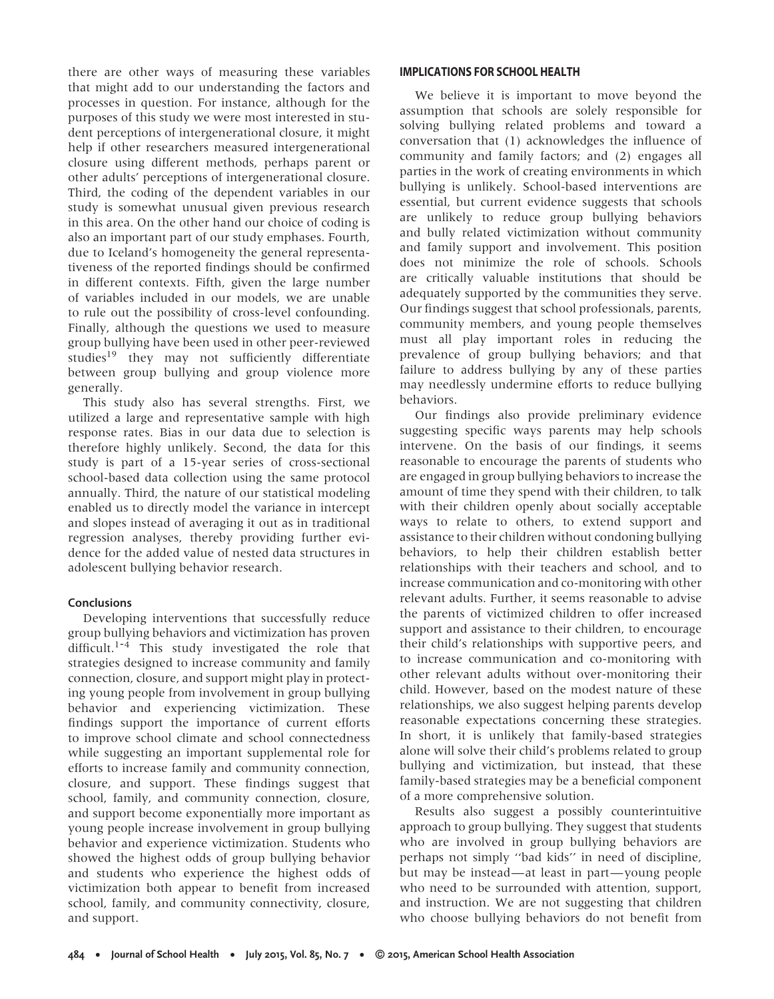there are other ways of measuring these variables that might add to our understanding the factors and processes in question. For instance, although for the purposes of this study we were most interested in student perceptions of intergenerational closure, it might help if other researchers measured intergenerational closure using different methods, perhaps parent or other adults' perceptions of intergenerational closure. Third, the coding of the dependent variables in our study is somewhat unusual given previous research in this area. On the other hand our choice of coding is also an important part of our study emphases. Fourth, due to Iceland's homogeneity the general representativeness of the reported findings should be confirmed in different contexts. Fifth, given the large number of variables included in our models, we are unable to rule out the possibility of cross-level confounding. Finally, although the questions we used to measure group bullying have been used in other peer-reviewed studies<sup>19</sup> they may not sufficiently differentiate between group bullying and group violence more generally.

This study also has several strengths. First, we utilized a large and representative sample with high response rates. Bias in our data due to selection is therefore highly unlikely. Second, the data for this study is part of a 15-year series of cross-sectional school-based data collection using the same protocol annually. Third, the nature of our statistical modeling enabled us to directly model the variance in intercept and slopes instead of averaging it out as in traditional regression analyses, thereby providing further evidence for the added value of nested data structures in adolescent bullying behavior research.

# **Conclusions**

Developing interventions that successfully reduce group bullying behaviors and victimization has proven difficult.<sup>1-4</sup> This study investigated the role that strategies designed to increase community and family connection, closure, and support might play in protecting young people from involvement in group bullying behavior and experiencing victimization. These findings support the importance of current efforts to improve school climate and school connectedness while suggesting an important supplemental role for efforts to increase family and community connection, closure, and support. These findings suggest that school, family, and community connection, closure, and support become exponentially more important as young people increase involvement in group bullying behavior and experience victimization. Students who showed the highest odds of group bullying behavior and students who experience the highest odds of victimization both appear to benefit from increased school, family, and community connectivity, closure, and support.

## **IMPLICATIONS FOR SCHOOL HEALTH**

We believe it is important to move beyond the assumption that schools are solely responsible for solving bullying related problems and toward a conversation that (1) acknowledges the influence of community and family factors; and (2) engages all parties in the work of creating environments in which bullying is unlikely. School-based interventions are essential, but current evidence suggests that schools are unlikely to reduce group bullying behaviors and bully related victimization without community and family support and involvement. This position does not minimize the role of schools. Schools are critically valuable institutions that should be adequately supported by the communities they serve. Our findings suggest that school professionals, parents, community members, and young people themselves must all play important roles in reducing the prevalence of group bullying behaviors; and that failure to address bullying by any of these parties may needlessly undermine efforts to reduce bullying behaviors.

Our findings also provide preliminary evidence suggesting specific ways parents may help schools intervene. On the basis of our findings, it seems reasonable to encourage the parents of students who are engaged in group bullying behaviors to increase the amount of time they spend with their children, to talk with their children openly about socially acceptable ways to relate to others, to extend support and assistance to their children without condoning bullying behaviors, to help their children establish better relationships with their teachers and school, and to increase communication and co-monitoring with other relevant adults. Further, it seems reasonable to advise the parents of victimized children to offer increased support and assistance to their children, to encourage their child's relationships with supportive peers, and to increase communication and co-monitoring with other relevant adults without over-monitoring their child. However, based on the modest nature of these relationships, we also suggest helping parents develop reasonable expectations concerning these strategies. In short, it is unlikely that family-based strategies alone will solve their child's problems related to group bullying and victimization, but instead, that these family-based strategies may be a beneficial component of a more comprehensive solution.

Results also suggest a possibly counterintuitive approach to group bullying. They suggest that students who are involved in group bullying behaviors are perhaps not simply ''bad kids'' in need of discipline, but may be instead—at least in part—young people who need to be surrounded with attention, support, and instruction. We are not suggesting that children who choose bullying behaviors do not benefit from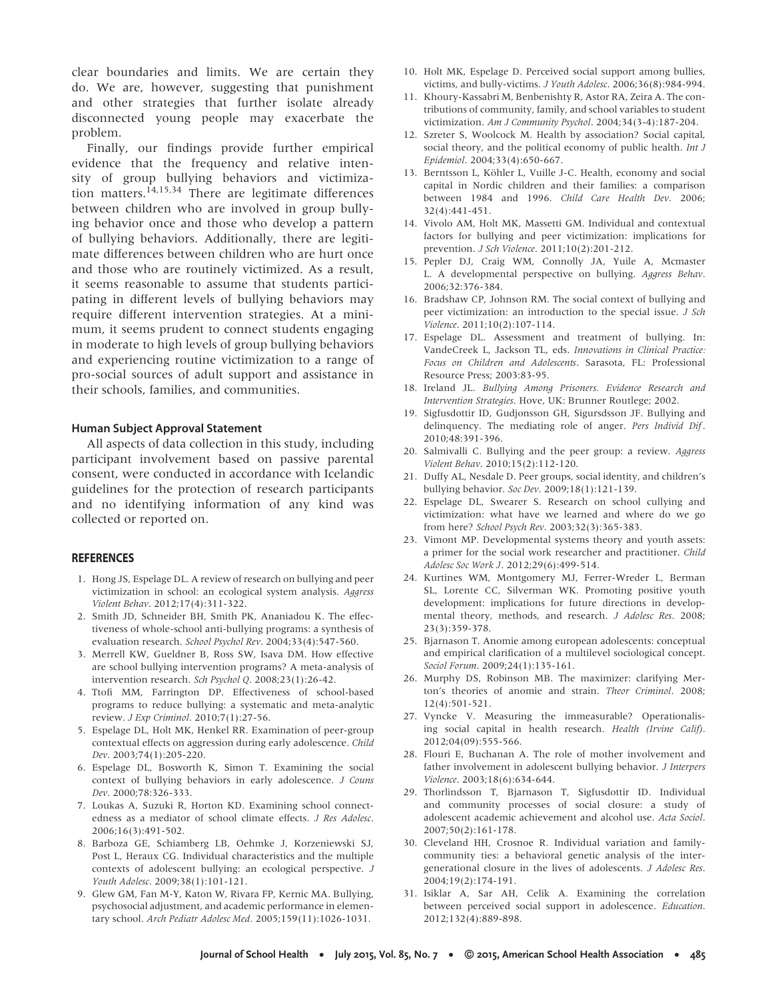clear boundaries and limits. We are certain they do. We are, however, suggesting that punishment and other strategies that further isolate already disconnected young people may exacerbate the problem.

Finally, our findings provide further empirical evidence that the frequency and relative intensity of group bullying behaviors and victimization matters.<sup>14,15,34</sup> There are legitimate differences between children who are involved in group bullying behavior once and those who develop a pattern of bullying behaviors. Additionally, there are legitimate differences between children who are hurt once and those who are routinely victimized. As a result, it seems reasonable to assume that students participating in different levels of bullying behaviors may require different intervention strategies. At a minimum, it seems prudent to connect students engaging in moderate to high levels of group bullying behaviors and experiencing routine victimization to a range of pro-social sources of adult support and assistance in their schools, families, and communities.

#### **Human Subject Approval Statement**

All aspects of data collection in this study, including participant involvement based on passive parental consent, were conducted in accordance with Icelandic guidelines for the protection of research participants and no identifying information of any kind was collected or reported on.

#### **REFERENCES**

- 1. Hong JS, Espelage DL. A review of research on bullying and peer victimization in school: an ecological system analysis. *Aggress Violent Behav*. 2012;17(4):311-322.
- 2. Smith JD, Schneider BH, Smith PK, Ananiadou K. The effectiveness of whole-school anti-bullying programs: a synthesis of evaluation research. *School Psychol Rev*. 2004;33(4):547-560.
- 3. Merrell KW, Gueldner B, Ross SW, Isava DM. How effective are school bullying intervention programs? A meta-analysis of intervention research. *Sch Psychol Q*. 2008;23(1):26-42.
- 4. Ttofi MM, Farrington DP. Effectiveness of school-based programs to reduce bullying: a systematic and meta-analytic review. *J Exp Criminol*. 2010;7(1):27-56.
- 5. Espelage DL, Holt MK, Henkel RR. Examination of peer-group contextual effects on aggression during early adolescence. *Child Dev*. 2003;74(1):205-220.
- 6. Espelage DL, Bosworth K, Simon T. Examining the social context of bullying behaviors in early adolescence. *J Couns Dev*. 2000;78:326-333.
- 7. Loukas A, Suzuki R, Horton KD. Examining school connectedness as a mediator of school climate effects. *J Res Adolesc*. 2006;16(3):491-502.
- 8. Barboza GE, Schiamberg LB, Oehmke J, Korzeniewski SJ, Post L, Heraux CG. Individual characteristics and the multiple contexts of adolescent bullying: an ecological perspective. *J Youth Adolesc*. 2009;38(1):101-121.
- 9. Glew GM, Fan M-Y, Katon W, Rivara FP, Kernic MA. Bullying, psychosocial adjustment, and academic performance in elementary school. *Arch Pediatr Adolesc Med*. 2005;159(11):1026-1031.
- 10. Holt MK, Espelage D. Perceived social support among bullies, victims, and bully-victims. *J Youth Adolesc*. 2006;36(8):984-994.
- 11. Khoury-Kassabri M, Benbenishty R, Astor RA, Zeira A. The contributions of community, family, and school variables to student victimization. *Am J Community Psychol*. 2004;34(3-4):187-204.
- 12. Szreter S, Woolcock M. Health by association? Social capital, social theory, and the political economy of public health. *Int J Epidemiol*. 2004;33(4):650-667.
- 13. Berntsson L, Köhler L, Vuille J-C. Health, economy and social capital in Nordic children and their families: a comparison between 1984 and 1996. *Child Care Health Dev*. 2006;  $32(4) \cdot 441 - 451$
- 14. Vivolo AM, Holt MK, Massetti GM. Individual and contextual factors for bullying and peer victimization: implications for prevention. *J Sch Violence*. 2011;10(2):201-212.
- 15. Pepler DJ, Craig WM, Connolly JA, Yuile A, Mcmaster L. A developmental perspective on bullying. *Aggress Behav*. 2006;32:376-384.
- 16. Bradshaw CP, Johnson RM. The social context of bullying and peer victimization: an introduction to the special issue. *J Sch Violence*. 2011;10(2):107-114.
- 17. Espelage DL. Assessment and treatment of bullying. In: VandeCreek L, Jackson TL, eds. *Innovations in Clinical Practice: Focus on Children and Adolescents*. Sarasota, FL: Professional Resource Press; 2003:83-95.
- 18. Ireland JL. *Bullying Among Prisoners. Evidence Research and Intervention Strategies*. Hove, UK: Brunner Routlege; 2002.
- 19. Sigfusdottir ID, Gudjonsson GH, Sigursdsson JF. Bullying and delinquency. The mediating role of anger. *Pers Individ Dif* . 2010;48:391-396.
- 20. Salmivalli C. Bullying and the peer group: a review. *Aggress Violent Behav*. 2010;15(2):112-120.
- 21. Duffy AL, Nesdale D. Peer groups, social identity, and children's bullying behavior. *Soc Dev*. 2009;18(1):121-139.
- 22. Espelage DL, Swearer S. Research on school cullying and victimization: what have we learned and where do we go from here? *School Psych Rev*. 2003;32(3):365-383.
- 23. Vimont MP. Developmental systems theory and youth assets: a primer for the social work researcher and practitioner. *Child Adolesc Soc Work J*. 2012;29(6):499-514.
- 24. Kurtines WM, Montgomery MJ, Ferrer-Wreder L, Berman SL, Lorente CC, Silverman WK. Promoting positive youth development: implications for future directions in developmental theory, methods, and research. *J Adolesc Res*. 2008; 23(3):359-378.
- 25. Bjarnason T. Anomie among european adolescents: conceptual and empirical clarification of a multilevel sociological concept. *Sociol Forum*. 2009;24(1):135-161.
- 26. Murphy DS, Robinson MB. The maximizer: clarifying Merton's theories of anomie and strain. *Theor Criminol*. 2008; 12(4):501-521.
- 27. Vyncke V. Measuring the immeasurable? Operationalising social capital in health research. *Health (Irvine Calif)*. 2012;04(09):555-566.
- 28. Flouri E, Buchanan A. The role of mother involvement and father involvement in adolescent bullying behavior. *J Interpers Violence*. 2003;18(6):634-644.
- 29. Thorlindsson T, Bjarnason T, Sigfusdottir ID. Individual and community processes of social closure: a study of adolescent academic achievement and alcohol use. *Acta Sociol*. 2007;50(2):161-178.
- 30. Cleveland HH, Crosnoe R. Individual variation and familycommunity ties: a behavioral genetic analysis of the intergenerational closure in the lives of adolescents. *J Adolesc Res*. 2004;19(2):174-191.
- 31. Isiklar A, Sar AH, Celik A. Examining the correlation between perceived social support in adolescence. *Education*. 2012;132(4):889-898.